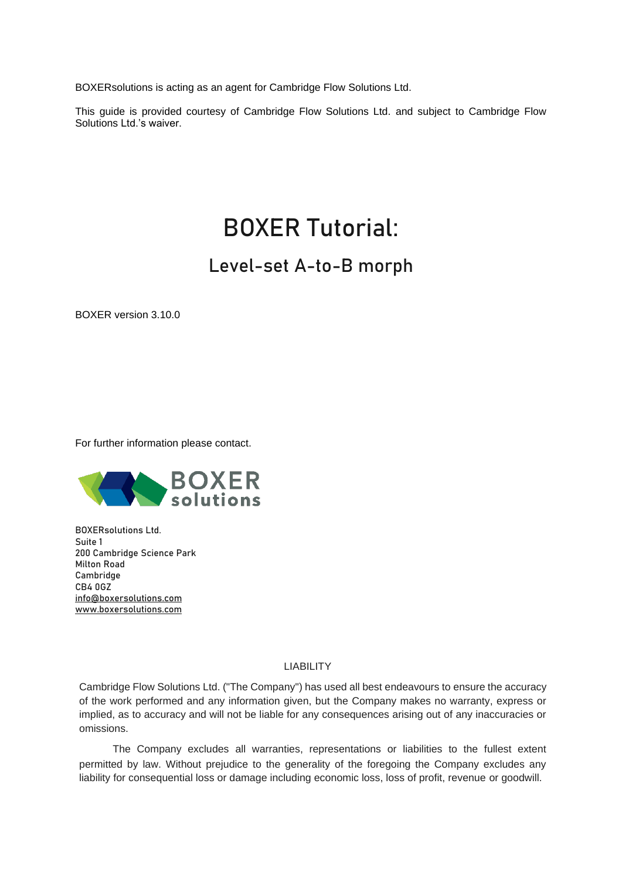BOXERsolutions is acting as an agent for Cambridge Flow Solutions Ltd.

This guide is provided courtesy of Cambridge Flow Solutions Ltd. and subject to Cambridge Flow Solutions Ltd.'s waiver.

# BOXER Tutorial:

## Level-set A-to-B morph

BOXER version 3.10.0

For further information please contact.



BOXERsolutions Ltd. Suite 1 200 Cambridge Science Park Milton Road Cambridge CB4 0GZ [info@boxersolutions.com](mailto:info@boxersolutions.com) [www.boxersolutions.com](http://www.boxersolutions.com/)

#### LIABILITY

Cambridge Flow Solutions Ltd. ("The Company") has used all best endeavours to ensure the accuracy of the work performed and any information given, but the Company makes no warranty, express or implied, as to accuracy and will not be liable for any consequences arising out of any inaccuracies or omissions.

The Company excludes all warranties, representations or liabilities to the fullest extent permitted by law. Without prejudice to the generality of the foregoing the Company excludes any liability for consequential loss or damage including economic loss, loss of profit, revenue or goodwill.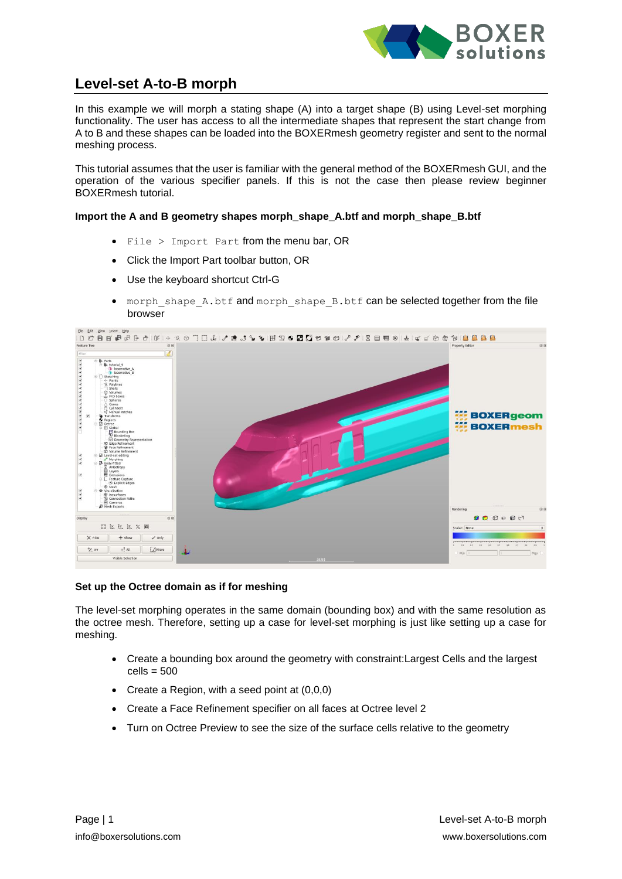

### **Level-set A-to-B morph**

In this example we will morph a stating shape (A) into a target shape (B) using Level-set morphing functionality. The user has access to all the intermediate shapes that represent the start change from A to B and these shapes can be loaded into the BOXERmesh geometry register and sent to the normal meshing process.

This tutorial assumes that the user is familiar with the general method of the BOXERmesh GUI, and the operation of the various specifier panels. If this is not the case then please review beginner BOXERmesh tutorial.

**Import the A and B geometry shapes morph\_shape\_A.btf and morph\_shape\_B.btf**

- File > Import Part from the menu bar, OR
- Click the Import Part toolbar button, OR
- Use the keyboard shortcut Ctrl-G
- morph shape A.btf and morph shape B.btf can be selected together from the file browser



#### **Set up the Octree domain as if for meshing**

The level-set morphing operates in the same domain (bounding box) and with the same resolution as the octree mesh. Therefore, setting up a case for level-set morphing is just like setting up a case for meshing.

- Create a bounding box around the geometry with constraint:Largest Cells and the largest  $cells = 500$
- Create a Region, with a seed point at (0,0,0)
- Create a Face Refinement specifier on all faces at Octree level 2
- Turn on Octree Preview to see the size of the surface cells relative to the geometry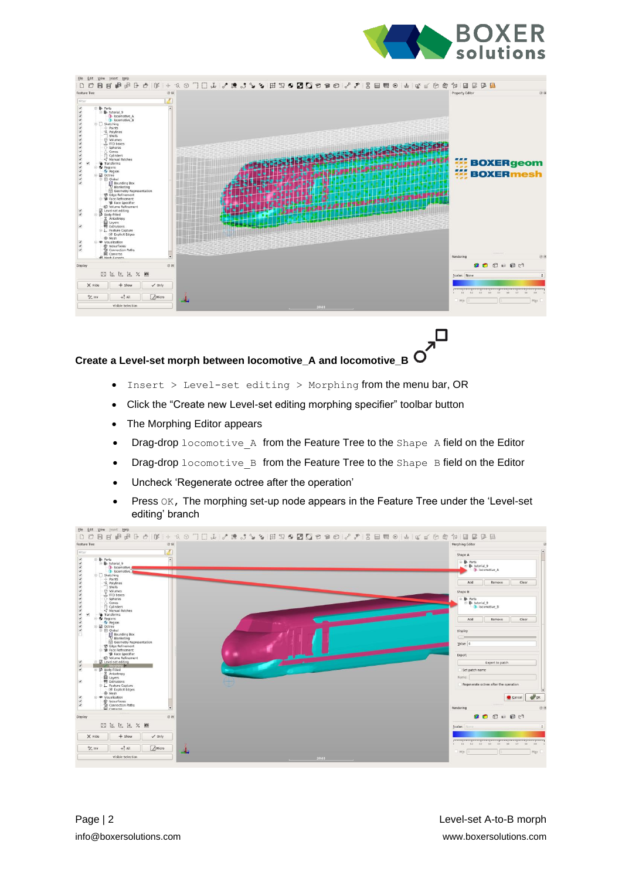

□

| View Insert Help<br>File<br>Edit                                                                                                                                                                                                                                                                                                                                                                                                                                                                                                                                                                                                                                                                                                                                                                                                      |                                                        |                                                    |
|---------------------------------------------------------------------------------------------------------------------------------------------------------------------------------------------------------------------------------------------------------------------------------------------------------------------------------------------------------------------------------------------------------------------------------------------------------------------------------------------------------------------------------------------------------------------------------------------------------------------------------------------------------------------------------------------------------------------------------------------------------------------------------------------------------------------------------------|--------------------------------------------------------|----------------------------------------------------|
|                                                                                                                                                                                                                                                                                                                                                                                                                                                                                                                                                                                                                                                                                                                                                                                                                                       | $\frac{1}{2}$<br>$\Box$<br>白面<br>$\mathbf{H}^{\prime}$ | 4<br>⊞<br>₿                                        |
| Feature Tree<br>因应                                                                                                                                                                                                                                                                                                                                                                                                                                                                                                                                                                                                                                                                                                                                                                                                                    |                                                        | 88<br>Property Editor                              |
| Filter<br>$\overline{a}$<br>V<br>v<br>₹<br><b>b</b> locomotive A<br><b>D</b> locomotive B<br>۷<br>Sketching<br>ᢦ<br>$+$ Points<br>٧<br>G. Polylines<br>Shells<br>⊙ Volumes<br>L. FFD boxes<br>○ Spheres<br>$\bigcirc$ Cones<br>$\bigcirc$ Cylinders<br>v<br><2 Manual Patches<br>Transforms<br>ч<br>Regions<br>Ψ<br>Region<br>₹<br><b>D</b> Octree<br>V<br><b>B</b> Global<br>₹<br>El Bounding Box<br>Blanketing<br>El Geometry Representation<br>۷<br><b>D</b> Edge Refinement<br><b>B</b> Face Refinement<br><b>B</b> Face Specifier<br><b>CO</b> Volume Refinement<br>Level-set editing<br>Body-fitted<br>V<br>₹<br><b>E</b> Anisotropy<br><b>E</b> Layers<br>R.<br>Extrusions<br>E L Feature Capture<br>C Explicit Edges<br>C Mesh<br>V<br>· Visualisation<br>V<br>m Isosurfaces<br><sup>2</sup> Connection Paths<br>₹<br>Cameras |                                                        | <b>BOXERgeom</b><br>7.47.4<br><b>WE BOXERmesh</b>  |
| $\overline{ }$<br><b>B</b> Meth Fynnris                                                                                                                                                                                                                                                                                                                                                                                                                                                                                                                                                                                                                                                                                                                                                                                               |                                                        | 88<br>Rendering                                    |
| 图图<br>Display                                                                                                                                                                                                                                                                                                                                                                                                                                                                                                                                                                                                                                                                                                                                                                                                                         |                                                        | $0000000$                                          |
| 因区区 Z X 画                                                                                                                                                                                                                                                                                                                                                                                                                                                                                                                                                                                                                                                                                                                                                                                                                             |                                                        | Scalar: None<br>$\div$                             |
| $X$ Hide<br>$+$ Show<br>$\checkmark$ Only                                                                                                                                                                                                                                                                                                                                                                                                                                                                                                                                                                                                                                                                                                                                                                                             |                                                        |                                                    |
| A Micro<br>$+2$ tnv<br>$+!$ All                                                                                                                                                                                                                                                                                                                                                                                                                                                                                                                                                                                                                                                                                                                                                                                                       |                                                        | 0 03 03 03 04 05 05 07<br>44.<br>5.9<br>Min<br>Max |
| Visible Selection                                                                                                                                                                                                                                                                                                                                                                                                                                                                                                                                                                                                                                                                                                                                                                                                                     | $\sim$ 3940 $\sim$                                     |                                                    |
|                                                                                                                                                                                                                                                                                                                                                                                                                                                                                                                                                                                                                                                                                                                                                                                                                                       |                                                        |                                                    |

#### **Create a Level-set morph between locomotive\_A and locomotive\_B**

- Insert > Level-set editing > Morphing from the menu bar, OR
- Click the "Create new Level-set editing morphing specifier" toolbar button
- The Morphing Editor appears
- Drag-drop locomotive A from the Feature Tree to the Shape A field on the Editor
- Drag-drop locomotive\_B from the Feature Tree to the Shape B field on the Editor
- Uncheck 'Regenerate octree after the operation'
- Press OK, The morphing set-up node appears in the Feature Tree under the 'Level-set editing' branch

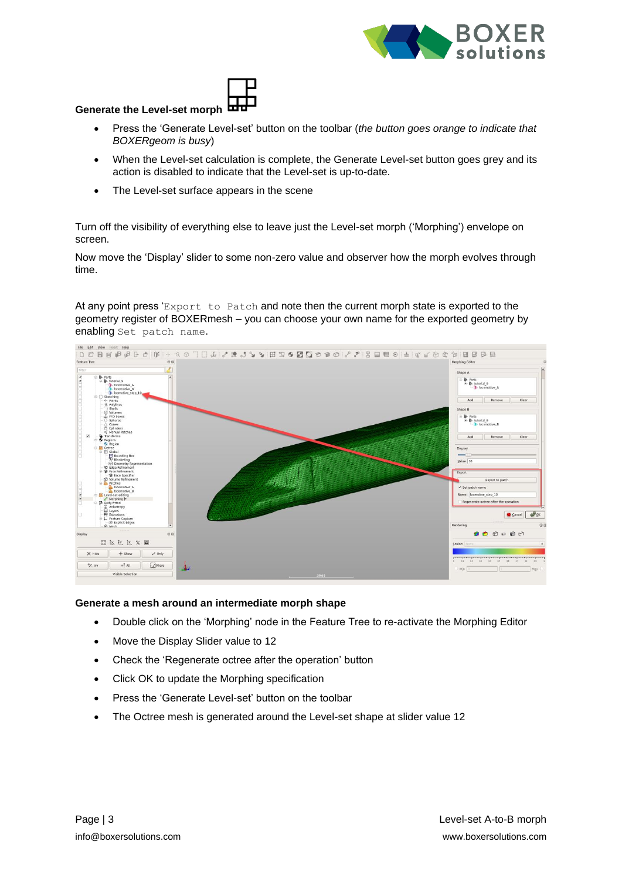



#### **Generate the Level-set morph**

- Press the 'Generate Level-set' button on the toolbar (*the button goes orange to indicate that BOXERgeom is busy*)
- When the Level-set calculation is complete, the Generate Level-set button goes grey and its action is disabled to indicate that the Level-set is up-to-date.
- The Level-set surface appears in the scene

Turn off the visibility of everything else to leave just the Level-set morph ('Morphing') envelope on screen.

Now move the 'Display' slider to some non-zero value and observer how the morph evolves through time.

At any point press 'Export to Patch and note then the current morph state is exported to the geometry register of BOXERmesh – you can choose your own name for the exported geometry by enabling Set patch name.



#### **Generate a mesh around an intermediate morph shape**

- Double click on the 'Morphing' node in the Feature Tree to re-activate the Morphing Editor
- Move the Display Slider value to 12
- Check the 'Regenerate octree after the operation' button
- Click OK to update the Morphing specification
- Press the 'Generate Level-set' button on the toolbar
- The Octree mesh is generated around the Level-set shape at slider value 12